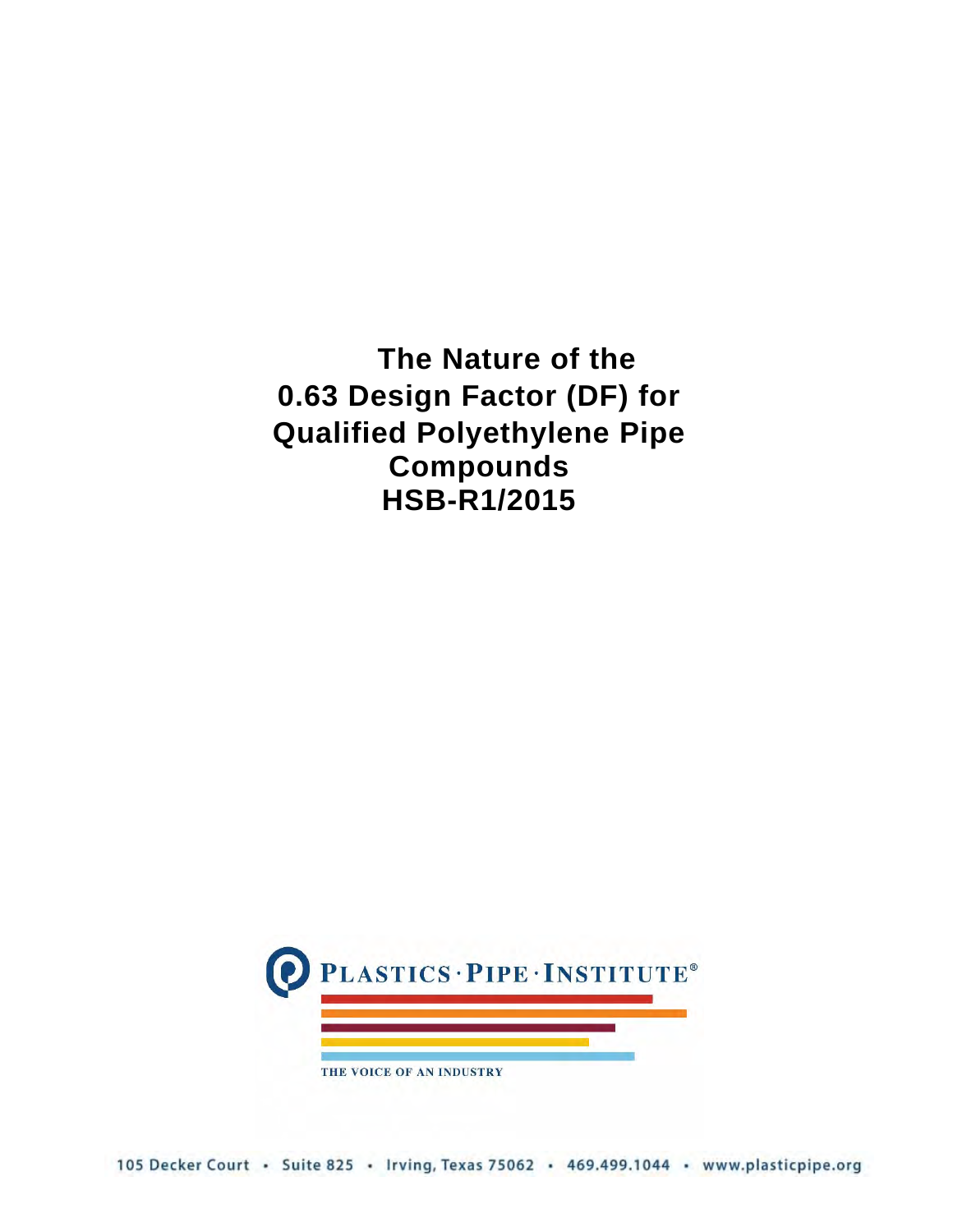**The Nature of the 0.63 Design Factor (DF) for Qualified Polyethylene Pipe Compounds HSB-R1/2015**

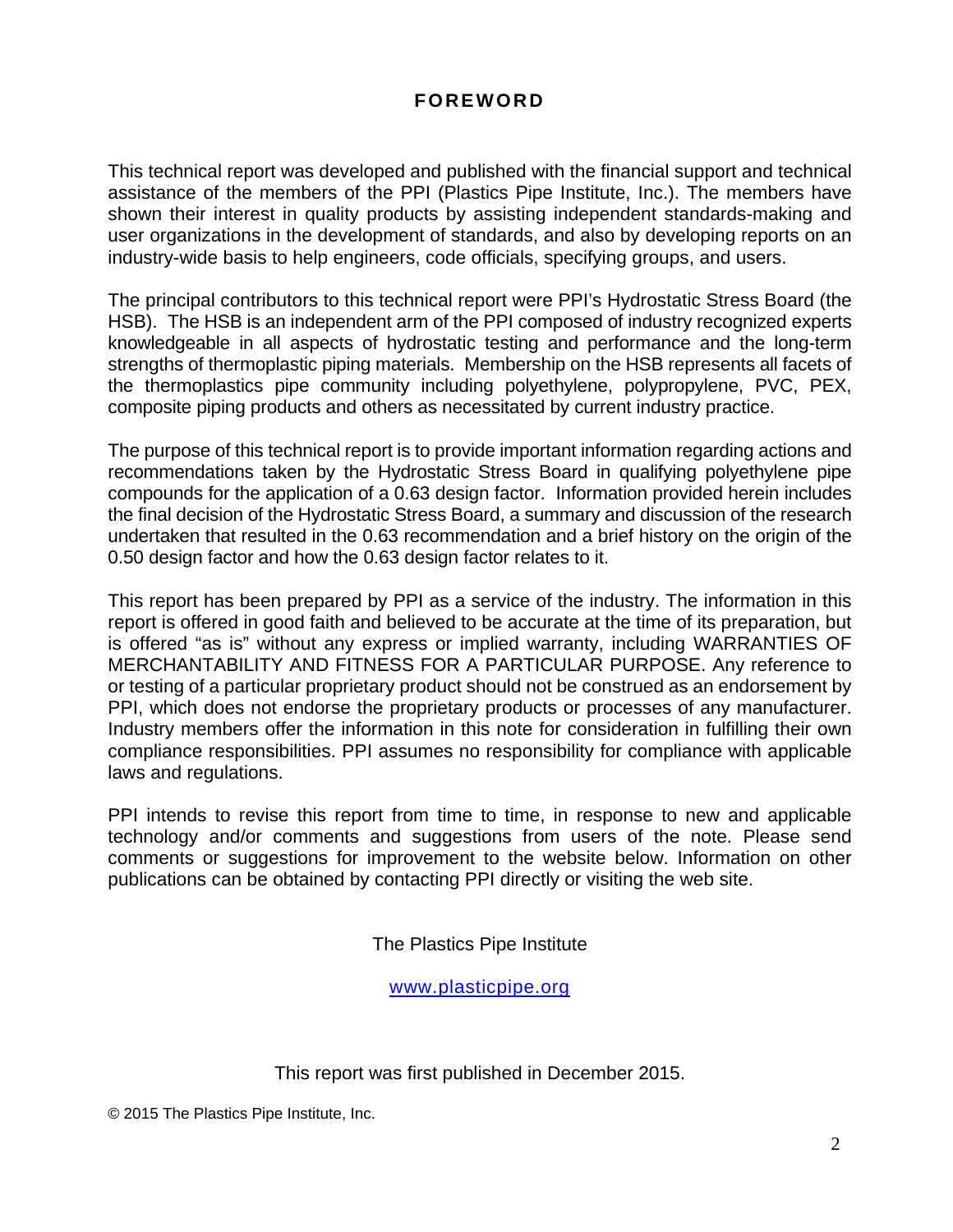# **FOREWORD**

This technical report was developed and published with the financial support and technical assistance of the members of the PPI (Plastics Pipe Institute, Inc.). The members have shown their interest in quality products by assisting independent standards-making and user organizations in the development of standards, and also by developing reports on an industry-wide basis to help engineers, code officials, specifying groups, and users.

The principal contributors to this technical report were PPI's Hydrostatic Stress Board (the HSB). The HSB is an independent arm of the PPI composed of industry recognized experts knowledgeable in all aspects of hydrostatic testing and performance and the long-term strengths of thermoplastic piping materials. Membership on the HSB represents all facets of the thermoplastics pipe community including polyethylene, polypropylene, PVC, PEX, composite piping products and others as necessitated by current industry practice.

The purpose of this technical report is to provide important information regarding actions and recommendations taken by the Hydrostatic Stress Board in qualifying polyethylene pipe compounds for the application of a 0.63 design factor. Information provided herein includes the final decision of the Hydrostatic Stress Board, a summary and discussion of the research undertaken that resulted in the 0.63 recommendation and a brief history on the origin of the 0.50 design factor and how the 0.63 design factor relates to it.

This report has been prepared by PPI as a service of the industry. The information in this report is offered in good faith and believed to be accurate at the time of its preparation, but is offered "as is" without any express or implied warranty, including WARRANTIES OF MERCHANTABILITY AND FITNESS FOR A PARTICULAR PURPOSE. Any reference to or testing of a particular proprietary product should not be construed as an endorsement by PPI, which does not endorse the proprietary products or processes of any manufacturer. Industry members offer the information in this note for consideration in fulfilling their own compliance responsibilities. PPI assumes no responsibility for compliance with applicable laws and regulations.

PPI intends to revise this report from time to time, in response to new and applicable technology and/or comments and suggestions from users of the note. Please send comments or suggestions for improvement to the website below. Information on other publications can be obtained by contacting PPI directly or visiting the web site.

The Plastics Pipe Institute

www.plasticpipe.org

This report was first published in December 2015.

© 2015 The Plastics Pipe Institute, Inc.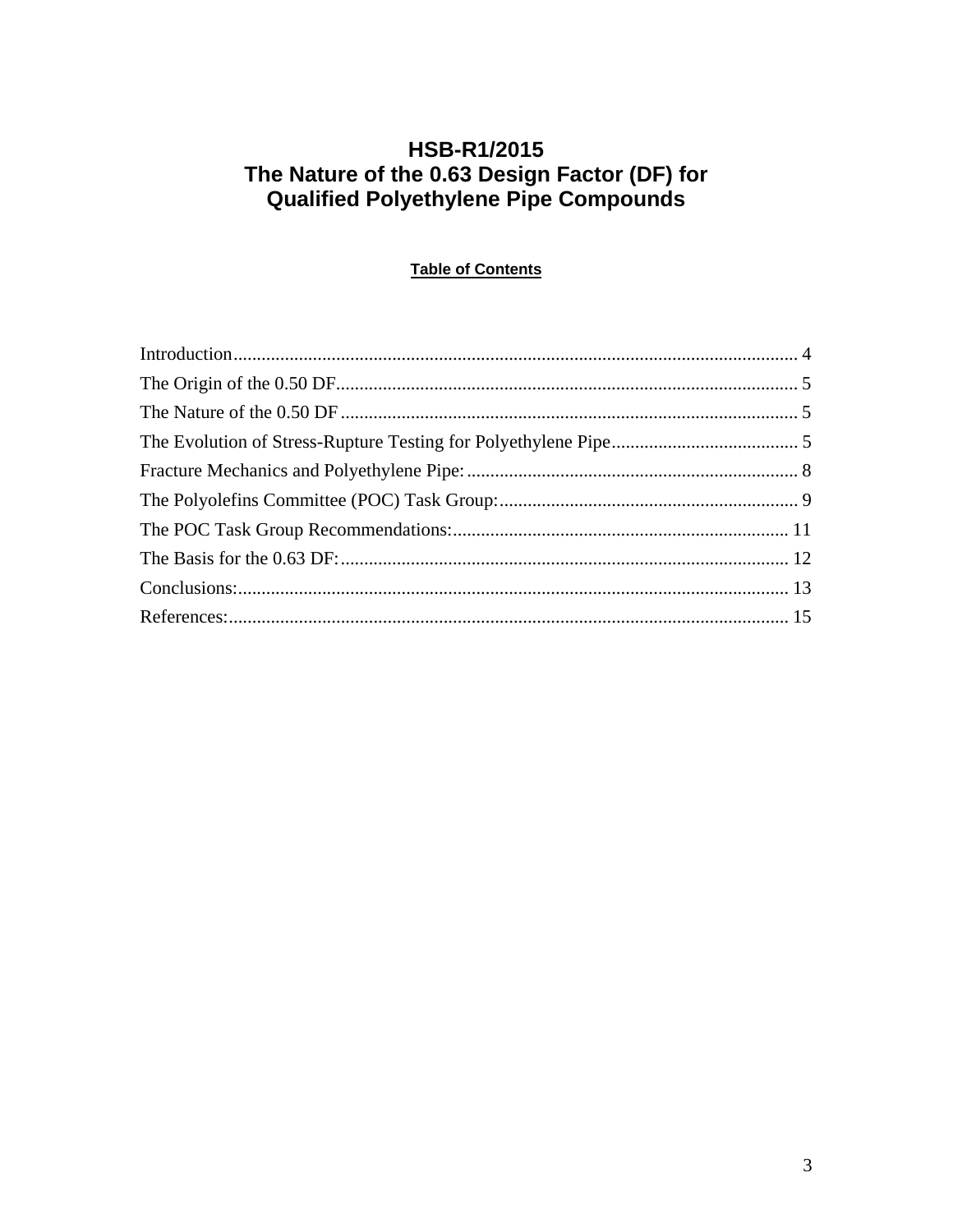# **HSB-R1/2015** The Nature of the 0.63 Design Factor (DF) for<br>Qualified Polyethylene Pipe Compounds

# **Table of Contents**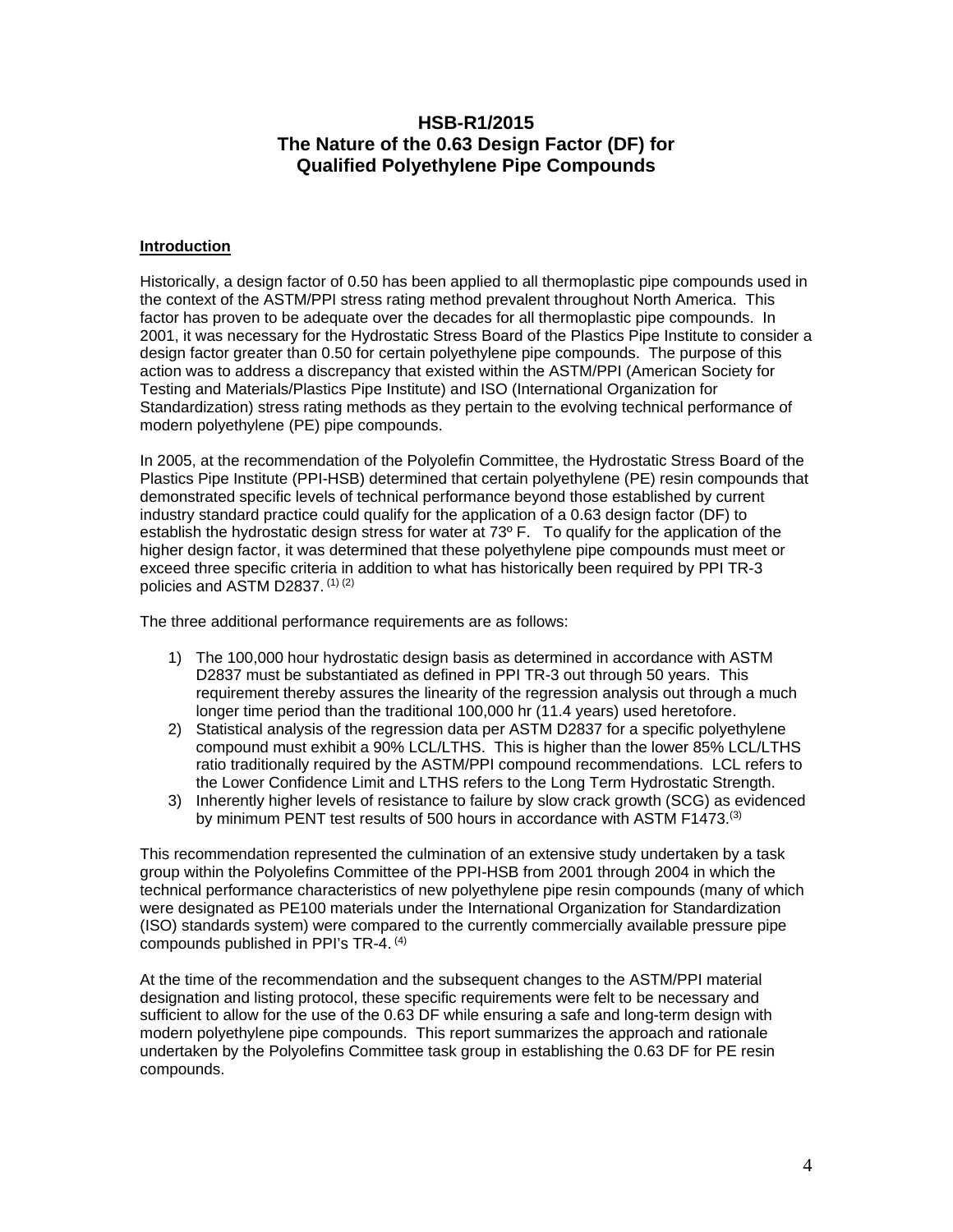# **HSB-R1/2015 The Nature of the 0.63 Design Factor (DF) for Qualified Polyethylene Pipe Compounds**

#### **Introduction**

Historically, a design factor of 0.50 has been applied to all thermoplastic pipe compounds used in the context of the ASTM/PPI stress rating method prevalent throughout North America. This factor has proven to be adequate over the decades for all thermoplastic pipe compounds. In 2001, it was necessary for the Hydrostatic Stress Board of the Plastics Pipe Institute to consider a design factor greater than 0.50 for certain polyethylene pipe compounds. The purpose of this action was to address a discrepancy that existed within the ASTM/PPI (American Society for Testing and Materials/Plastics Pipe Institute) and ISO (International Organization for Standardization) stress rating methods as they pertain to the evolving technical performance of modern polyethylene (PE) pipe compounds.

In 2005, at the recommendation of the Polyolefin Committee, the Hydrostatic Stress Board of the Plastics Pipe Institute (PPI-HSB) determined that certain polyethylene (PE) resin compounds that demonstrated specific levels of technical performance beyond those established by current industry standard practice could qualify for the application of a 0.63 design factor (DF) to establish the hydrostatic design stress for water at 73º F. To qualify for the application of the higher design factor, it was determined that these polyethylene pipe compounds must meet or exceed three specific criteria in addition to what has historically been required by PPI TR-3 policies and ASTM D2837. (1) (2)

The three additional performance requirements are as follows:

- 1) The 100,000 hour hydrostatic design basis as determined in accordance with ASTM D2837 must be substantiated as defined in PPI TR-3 out through 50 years. This requirement thereby assures the linearity of the regression analysis out through a much longer time period than the traditional 100,000 hr (11.4 years) used heretofore.
- 2) Statistical analysis of the regression data per ASTM D2837 for a specific polyethylene compound must exhibit a 90% LCL/LTHS. This is higher than the lower 85% LCL/LTHS ratio traditionally required by the ASTM/PPI compound recommendations. LCL refers to the Lower Confidence Limit and LTHS refers to the Long Term Hydrostatic Strength.
- 3) Inherently higher levels of resistance to failure by slow crack growth (SCG) as evidenced by minimum PENT test results of 500 hours in accordance with ASTM F1473.<sup>(3)</sup>

This recommendation represented the culmination of an extensive study undertaken by a task group within the Polyolefins Committee of the PPI-HSB from 2001 through 2004 in which the technical performance characteristics of new polyethylene pipe resin compounds (many of which were designated as PE100 materials under the International Organization for Standardization (ISO) standards system) were compared to the currently commercially available pressure pipe compounds published in PPI's TR-4. (4)

At the time of the recommendation and the subsequent changes to the ASTM/PPI material designation and listing protocol, these specific requirements were felt to be necessary and sufficient to allow for the use of the 0.63 DF while ensuring a safe and long-term design with modern polyethylene pipe compounds. This report summarizes the approach and rationale undertaken by the Polyolefins Committee task group in establishing the 0.63 DF for PE resin compounds.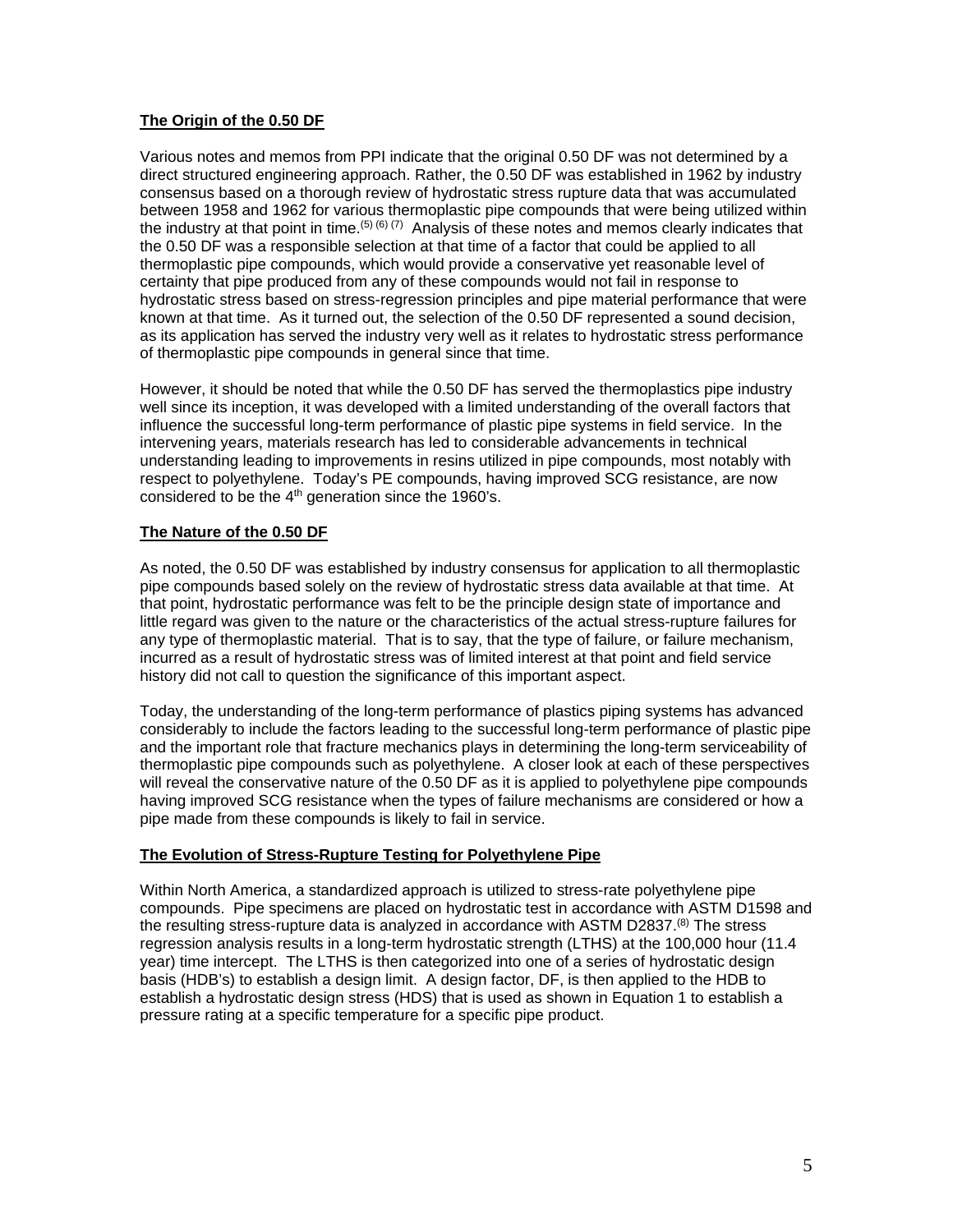## **The Origin of the 0.50 DF**

Various notes and memos from PPI indicate that the original 0.50 DF was not determined by a direct structured engineering approach. Rather, the 0.50 DF was established in 1962 by industry consensus based on a thorough review of hydrostatic stress rupture data that was accumulated between 1958 and 1962 for various thermoplastic pipe compounds that were being utilized within the industry at that point in time. <sup>(5) (6)</sup> (7) Analysis of these notes and memos clearly indicates that the 0.50 DF was a responsible selection at that time of a factor that could be applied to all thermoplastic pipe compounds, which would provide a conservative yet reasonable level of certainty that pipe produced from any of these compounds would not fail in response to hydrostatic stress based on stress-regression principles and pipe material performance that were known at that time. As it turned out, the selection of the 0.50 DF represented a sound decision, as its application has served the industry very well as it relates to hydrostatic stress performance of thermoplastic pipe compounds in general since that time.

However, it should be noted that while the 0.50 DF has served the thermoplastics pipe industry well since its inception, it was developed with a limited understanding of the overall factors that influence the successful long-term performance of plastic pipe systems in field service. In the intervening years, materials research has led to considerable advancements in technical understanding leading to improvements in resins utilized in pipe compounds, most notably with respect to polyethylene. Today's PE compounds, having improved SCG resistance, are now considered to be the  $4<sup>th</sup>$  generation since the 1960's.

### **The Nature of the 0.50 DF**

As noted, the 0.50 DF was established by industry consensus for application to all thermoplastic pipe compounds based solely on the review of hydrostatic stress data available at that time. At that point, hydrostatic performance was felt to be the principle design state of importance and little regard was given to the nature or the characteristics of the actual stress-rupture failures for any type of thermoplastic material. That is to say, that the type of failure, or failure mechanism, incurred as a result of hydrostatic stress was of limited interest at that point and field service history did not call to question the significance of this important aspect.

Today, the understanding of the long-term performance of plastics piping systems has advanced considerably to include the factors leading to the successful long-term performance of plastic pipe and the important role that fracture mechanics plays in determining the long-term serviceability of thermoplastic pipe compounds such as polyethylene. A closer look at each of these perspectives will reveal the conservative nature of the 0.50 DF as it is applied to polyethylene pipe compounds having improved SCG resistance when the types of failure mechanisms are considered or how a pipe made from these compounds is likely to fail in service.

### **The Evolution of Stress-Rupture Testing for Polyethylene Pipe**

Within North America, a standardized approach is utilized to stress-rate polyethylene pipe compounds. Pipe specimens are placed on hydrostatic test in accordance with ASTM D1598 and the resulting stress-rupture data is analyzed in accordance with ASTM D2837. $^{(8)}$  The stress regression analysis results in a long-term hydrostatic strength (LTHS) at the 100,000 hour (11.4 year) time intercept. The LTHS is then categorized into one of a series of hydrostatic design basis (HDB's) to establish a design limit. A design factor, DF, is then applied to the HDB to establish a hydrostatic design stress (HDS) that is used as shown in Equation 1 to establish a pressure rating at a specific temperature for a specific pipe product.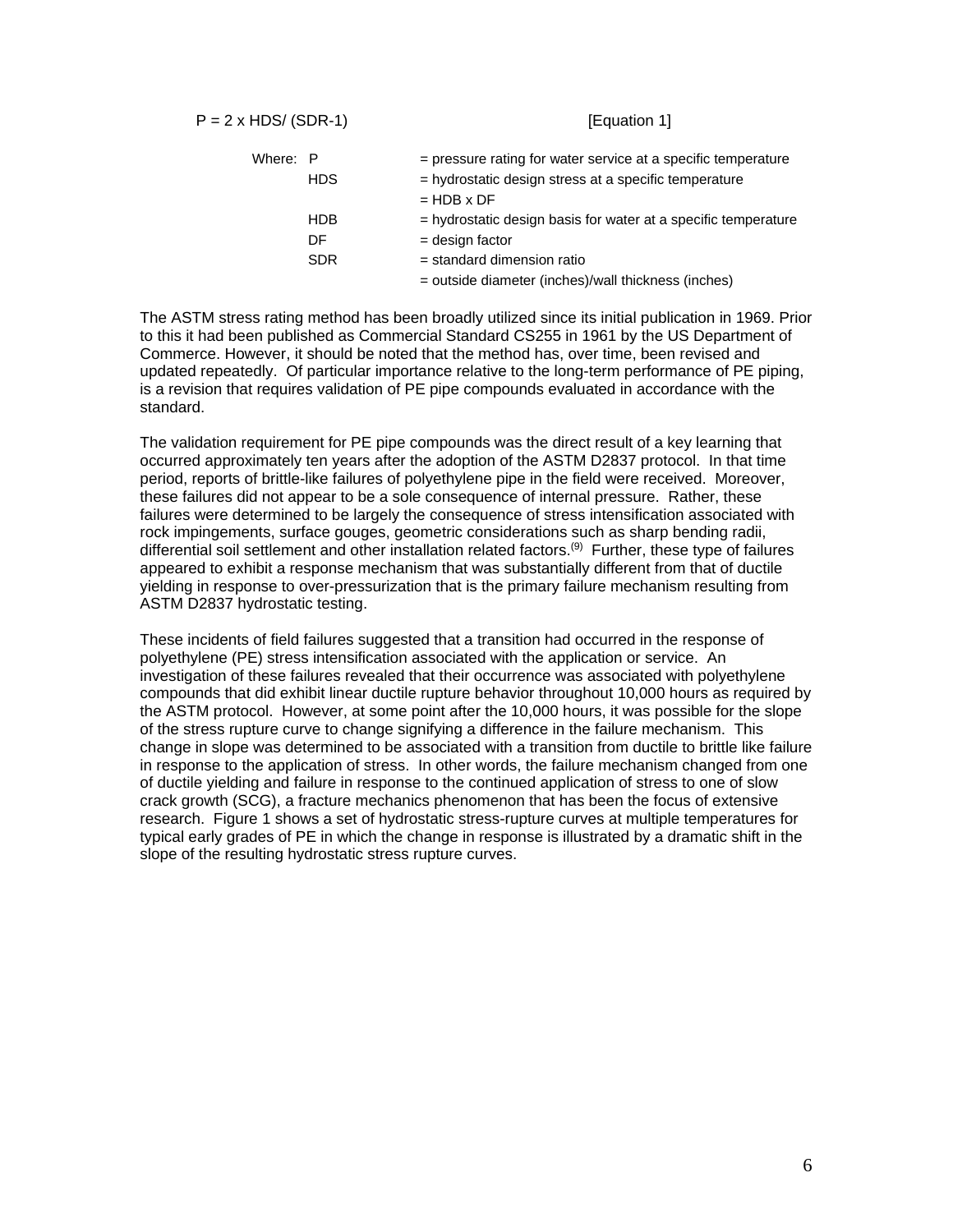$P = 2 \times HDS / (SDR-1)$  [Equation 1]

| Where: P |            | = pressure rating for water service at a specific temperature  |
|----------|------------|----------------------------------------------------------------|
|          | <b>HDS</b> | = hydrostatic design stress at a specific temperature          |
|          |            | $=$ HDB $\times$ DF                                            |
|          | <b>HDB</b> | = hydrostatic design basis for water at a specific temperature |
|          | DF         | $=$ design factor                                              |
|          | <b>SDR</b> | $=$ standard dimension ratio                                   |
|          |            | = outside diameter (inches)/wall thickness (inches)            |

The ASTM stress rating method has been broadly utilized since its initial publication in 1969. Prior to this it had been published as Commercial Standard CS255 in 1961 by the US Department of Commerce. However, it should be noted that the method has, over time, been revised and updated repeatedly. Of particular importance relative to the long-term performance of PE piping, is a revision that requires validation of PE pipe compounds evaluated in accordance with the standard.

The validation requirement for PE pipe compounds was the direct result of a key learning that occurred approximately ten years after the adoption of the ASTM D2837 protocol. In that time period, reports of brittle-like failures of polyethylene pipe in the field were received. Moreover, these failures did not appear to be a sole consequence of internal pressure. Rather, these failures were determined to be largely the consequence of stress intensification associated with rock impingements, surface gouges, geometric considerations such as sharp bending radii, differential soil settlement and other installation related factors.(9) Further, these type of failures appeared to exhibit a response mechanism that was substantially different from that of ductile yielding in response to over-pressurization that is the primary failure mechanism resulting from ASTM D2837 hydrostatic testing.

These incidents of field failures suggested that a transition had occurred in the response of polyethylene (PE) stress intensification associated with the application or service. An investigation of these failures revealed that their occurrence was associated with polyethylene compounds that did exhibit linear ductile rupture behavior throughout 10,000 hours as required by the ASTM protocol. However, at some point after the 10,000 hours, it was possible for the slope of the stress rupture curve to change signifying a difference in the failure mechanism. This change in slope was determined to be associated with a transition from ductile to brittle like failure in response to the application of stress. In other words, the failure mechanism changed from one of ductile yielding and failure in response to the continued application of stress to one of slow crack growth (SCG), a fracture mechanics phenomenon that has been the focus of extensive research. Figure 1 shows a set of hydrostatic stress-rupture curves at multiple temperatures for typical early grades of PE in which the change in response is illustrated by a dramatic shift in the slope of the resulting hydrostatic stress rupture curves.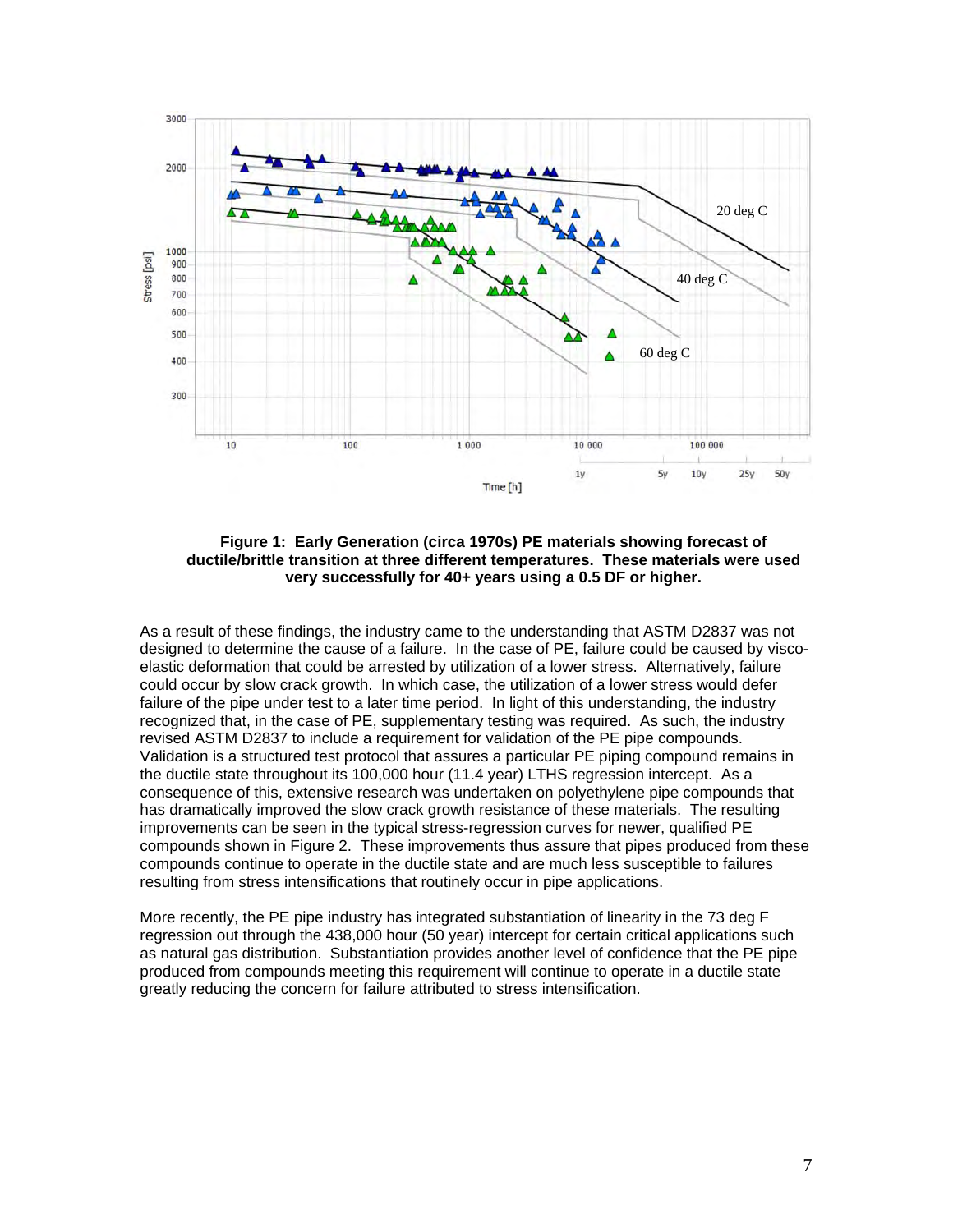

**Figure 1: Early Generation (circa 1970s) PE materials showing forecast of ductile/brittle transition at three different temperatures. These materials were used very successfully for 40+ years using a 0.5 DF or higher.** 

As a result of these findings, the industry came to the understanding that ASTM D2837 was not designed to determine the cause of a failure. In the case of PE, failure could be caused by viscoelastic deformation that could be arrested by utilization of a lower stress. Alternatively, failure could occur by slow crack growth. In which case, the utilization of a lower stress would defer failure of the pipe under test to a later time period. In light of this understanding, the industry recognized that, in the case of PE, supplementary testing was required. As such, the industry revised ASTM D2837 to include a requirement for validation of the PE pipe compounds. Validation is a structured test protocol that assures a particular PE piping compound remains in the ductile state throughout its 100,000 hour (11.4 year) LTHS regression intercept. As a consequence of this, extensive research was undertaken on polyethylene pipe compounds that has dramatically improved the slow crack growth resistance of these materials. The resulting improvements can be seen in the typical stress-regression curves for newer, qualified PE compounds shown in Figure 2. These improvements thus assure that pipes produced from these compounds continue to operate in the ductile state and are much less susceptible to failures resulting from stress intensifications that routinely occur in pipe applications.

More recently, the PE pipe industry has integrated substantiation of linearity in the 73 deg F regression out through the 438,000 hour (50 year) intercept for certain critical applications such as natural gas distribution. Substantiation provides another level of confidence that the PE pipe produced from compounds meeting this requirement will continue to operate in a ductile state greatly reducing the concern for failure attributed to stress intensification.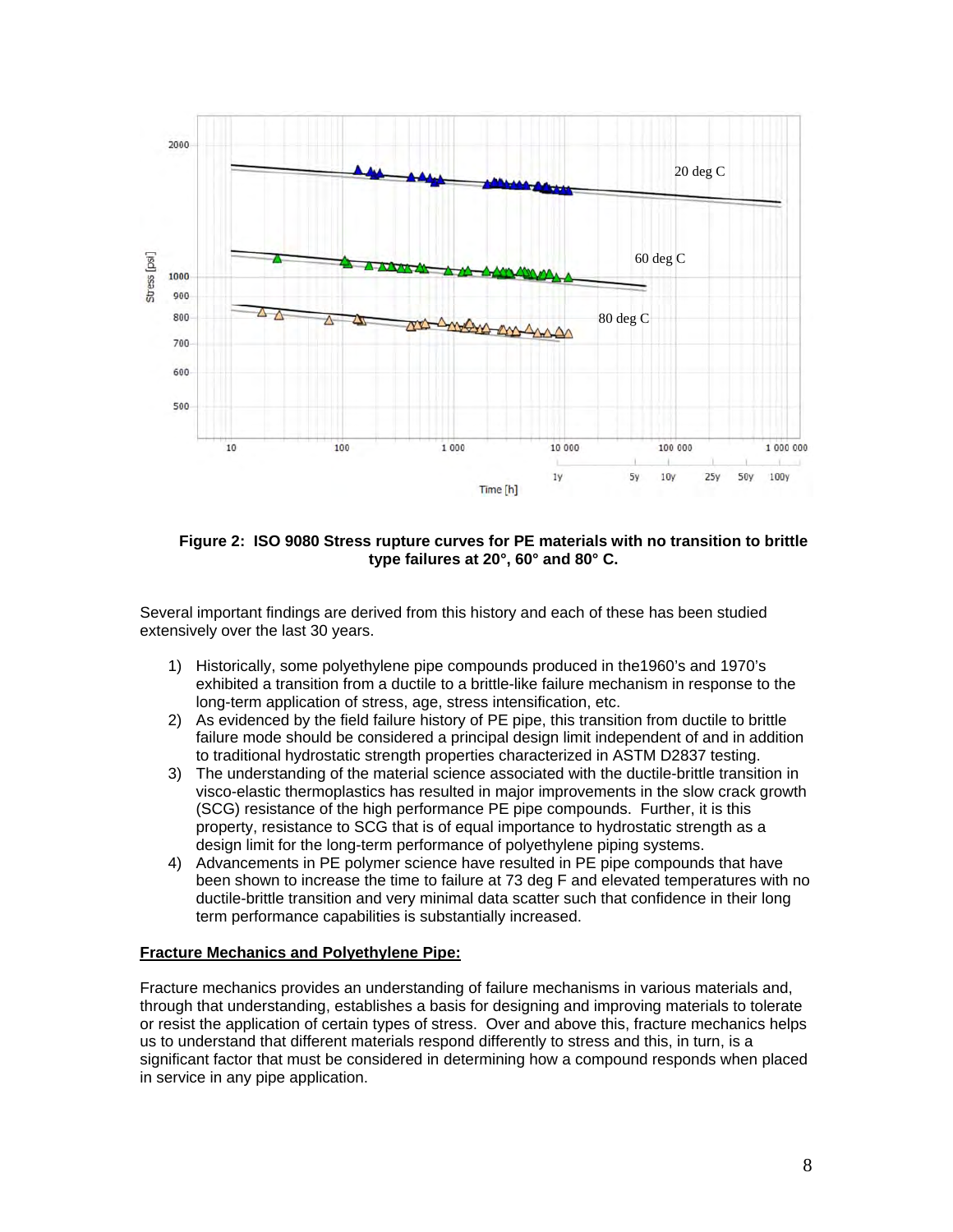

**Figure 2: ISO 9080 Stress rupture curves for PE materials with no transition to brittle type failures at 20°, 60° and 80° C.** 

Several important findings are derived from this history and each of these has been studied extensively over the last 30 years.

- 1) Historically, some polyethylene pipe compounds produced in the1960's and 1970's exhibited a transition from a ductile to a brittle-like failure mechanism in response to the long-term application of stress, age, stress intensification, etc.
- 2) As evidenced by the field failure history of PE pipe, this transition from ductile to brittle failure mode should be considered a principal design limit independent of and in addition to traditional hydrostatic strength properties characterized in ASTM D2837 testing.
- 3) The understanding of the material science associated with the ductile-brittle transition in visco-elastic thermoplastics has resulted in major improvements in the slow crack growth (SCG) resistance of the high performance PE pipe compounds. Further, it is this property, resistance to SCG that is of equal importance to hydrostatic strength as a design limit for the long-term performance of polyethylene piping systems.
- 4) Advancements in PE polymer science have resulted in PE pipe compounds that have been shown to increase the time to failure at 73 deg F and elevated temperatures with no ductile-brittle transition and very minimal data scatter such that confidence in their long term performance capabilities is substantially increased.

#### **Fracture Mechanics and Polyethylene Pipe:**

Fracture mechanics provides an understanding of failure mechanisms in various materials and, through that understanding, establishes a basis for designing and improving materials to tolerate or resist the application of certain types of stress. Over and above this, fracture mechanics helps us to understand that different materials respond differently to stress and this, in turn, is a significant factor that must be considered in determining how a compound responds when placed in service in any pipe application.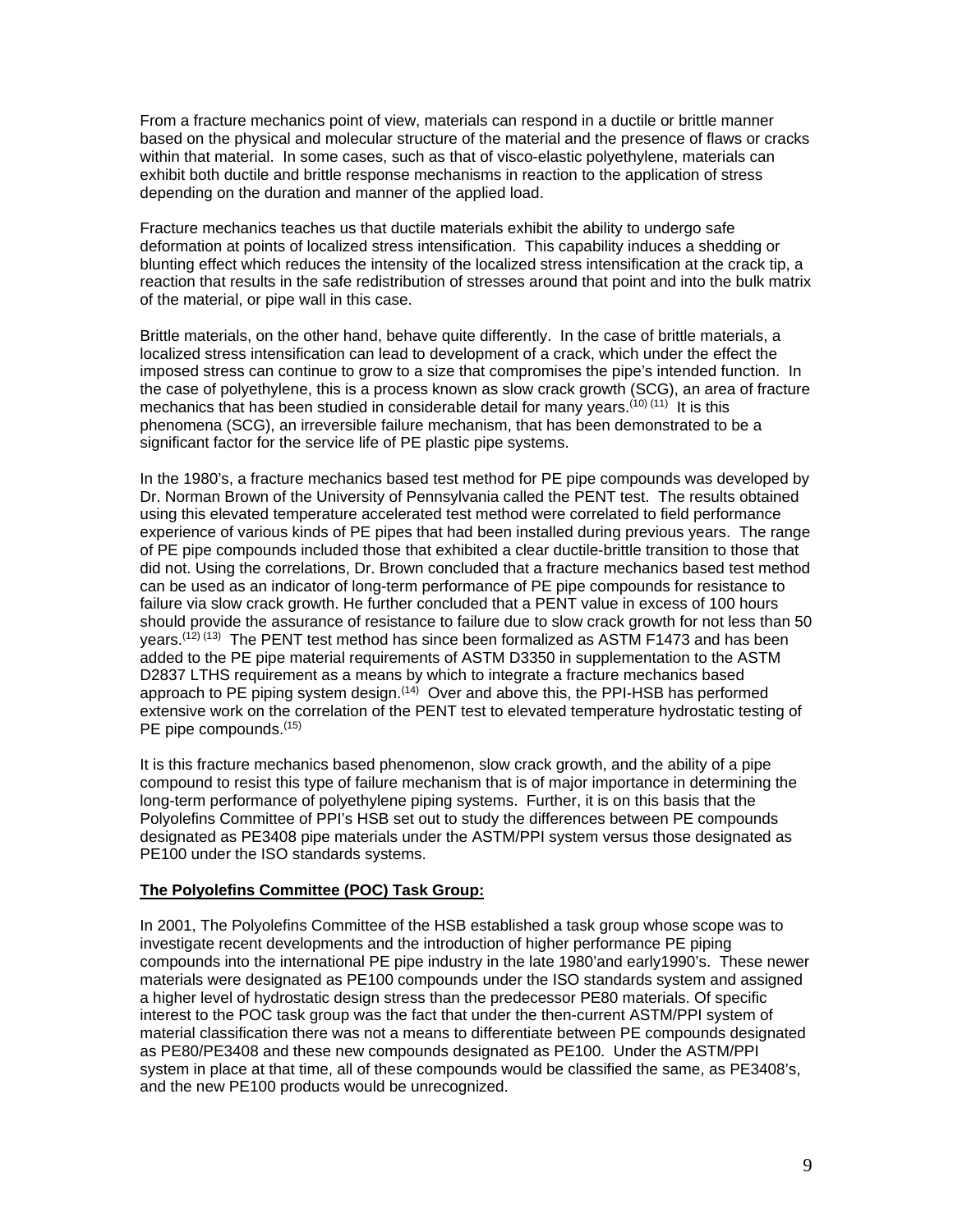From a fracture mechanics point of view, materials can respond in a ductile or brittle manner based on the physical and molecular structure of the material and the presence of flaws or cracks within that material. In some cases, such as that of visco-elastic polyethylene, materials can exhibit both ductile and brittle response mechanisms in reaction to the application of stress depending on the duration and manner of the applied load.

Fracture mechanics teaches us that ductile materials exhibit the ability to undergo safe deformation at points of localized stress intensification. This capability induces a shedding or blunting effect which reduces the intensity of the localized stress intensification at the crack tip, a reaction that results in the safe redistribution of stresses around that point and into the bulk matrix of the material, or pipe wall in this case.

Brittle materials, on the other hand, behave quite differently. In the case of brittle materials, a localized stress intensification can lead to development of a crack, which under the effect the imposed stress can continue to grow to a size that compromises the pipe's intended function. In the case of polyethylene, this is a process known as slow crack growth (SCG), an area of fracture mechanics that has been studied in considerable detail for many years.<sup>(10) (11)</sup> It is this phenomena (SCG), an irreversible failure mechanism, that has been demonstrated to be a significant factor for the service life of PE plastic pipe systems.

In the 1980's, a fracture mechanics based test method for PE pipe compounds was developed by Dr. Norman Brown of the University of Pennsylvania called the PENT test. The results obtained using this elevated temperature accelerated test method were correlated to field performance experience of various kinds of PE pipes that had been installed during previous years. The range of PE pipe compounds included those that exhibited a clear ductile-brittle transition to those that did not. Using the correlations, Dr. Brown concluded that a fracture mechanics based test method can be used as an indicator of long-term performance of PE pipe compounds for resistance to failure via slow crack growth. He further concluded that a PENT value in excess of 100 hours should provide the assurance of resistance to failure due to slow crack growth for not less than 50 years.<sup>(12) (13)</sup> The PENT test method has since been formalized as ASTM F1473 and has been added to the PE pipe material requirements of ASTM D3350 in supplementation to the ASTM D2837 LTHS requirement as a means by which to integrate a fracture mechanics based approach to PE piping system design.<sup> $(14)$ </sup> Over and above this, the PPI-HSB has performed extensive work on the correlation of the PENT test to elevated temperature hydrostatic testing of PE pipe compounds.<sup>(15)</sup>

It is this fracture mechanics based phenomenon, slow crack growth, and the ability of a pipe compound to resist this type of failure mechanism that is of major importance in determining the long-term performance of polyethylene piping systems. Further, it is on this basis that the Polyolefins Committee of PPI's HSB set out to study the differences between PE compounds designated as PE3408 pipe materials under the ASTM/PPI system versus those designated as PE100 under the ISO standards systems.

#### **The Polyolefins Committee (POC) Task Group:**

In 2001, The Polyolefins Committee of the HSB established a task group whose scope was to investigate recent developments and the introduction of higher performance PE piping compounds into the international PE pipe industry in the late 1980'and early1990's. These newer materials were designated as PE100 compounds under the ISO standards system and assigned a higher level of hydrostatic design stress than the predecessor PE80 materials. Of specific interest to the POC task group was the fact that under the then-current ASTM/PPI system of material classification there was not a means to differentiate between PE compounds designated as PE80/PE3408 and these new compounds designated as PE100. Under the ASTM/PPI system in place at that time, all of these compounds would be classified the same, as PE3408's, and the new PE100 products would be unrecognized.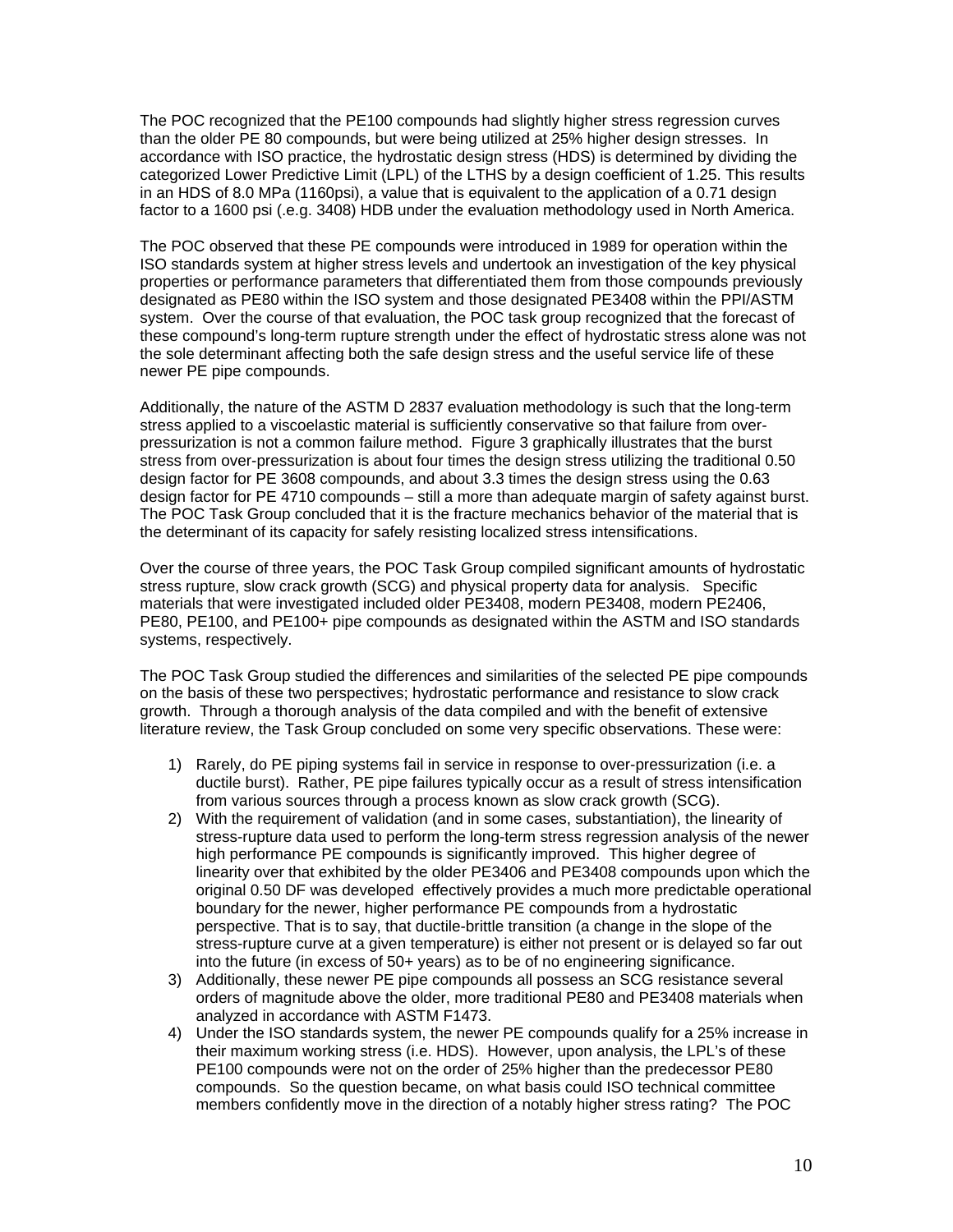The POC recognized that the PE100 compounds had slightly higher stress regression curves than the older PE 80 compounds, but were being utilized at 25% higher design stresses. In accordance with ISO practice, the hydrostatic design stress (HDS) is determined by dividing the categorized Lower Predictive Limit (LPL) of the LTHS by a design coefficient of 1.25. This results in an HDS of 8.0 MPa (1160psi), a value that is equivalent to the application of a 0.71 design factor to a 1600 psi (.e.g. 3408) HDB under the evaluation methodology used in North America.

The POC observed that these PE compounds were introduced in 1989 for operation within the ISO standards system at higher stress levels and undertook an investigation of the key physical properties or performance parameters that differentiated them from those compounds previously designated as PE80 within the ISO system and those designated PE3408 within the PPI/ASTM system. Over the course of that evaluation, the POC task group recognized that the forecast of these compound's long-term rupture strength under the effect of hydrostatic stress alone was not the sole determinant affecting both the safe design stress and the useful service life of these newer PE pipe compounds.

Additionally, the nature of the ASTM D 2837 evaluation methodology is such that the long-term stress applied to a viscoelastic material is sufficiently conservative so that failure from overpressurization is not a common failure method. Figure 3 graphically illustrates that the burst stress from over-pressurization is about four times the design stress utilizing the traditional 0.50 design factor for PE 3608 compounds, and about 3.3 times the design stress using the 0.63 design factor for PE 4710 compounds – still a more than adequate margin of safety against burst. The POC Task Group concluded that it is the fracture mechanics behavior of the material that is the determinant of its capacity for safely resisting localized stress intensifications.

Over the course of three years, the POC Task Group compiled significant amounts of hydrostatic stress rupture, slow crack growth (SCG) and physical property data for analysis. Specific materials that were investigated included older PE3408, modern PE3408, modern PE2406, PE80, PE100, and PE100+ pipe compounds as designated within the ASTM and ISO standards systems, respectively.

The POC Task Group studied the differences and similarities of the selected PE pipe compounds on the basis of these two perspectives; hydrostatic performance and resistance to slow crack growth. Through a thorough analysis of the data compiled and with the benefit of extensive literature review, the Task Group concluded on some very specific observations. These were:

- 1) Rarely, do PE piping systems fail in service in response to over-pressurization (i.e. a ductile burst). Rather, PE pipe failures typically occur as a result of stress intensification from various sources through a process known as slow crack growth (SCG).
- 2) With the requirement of validation (and in some cases, substantiation), the linearity of stress-rupture data used to perform the long-term stress regression analysis of the newer high performance PE compounds is significantly improved. This higher degree of linearity over that exhibited by the older PE3406 and PE3408 compounds upon which the original 0.50 DF was developed effectively provides a much more predictable operational boundary for the newer, higher performance PE compounds from a hydrostatic perspective. That is to say, that ductile-brittle transition (a change in the slope of the stress-rupture curve at a given temperature) is either not present or is delayed so far out into the future (in excess of 50+ years) as to be of no engineering significance.
- 3) Additionally, these newer PE pipe compounds all possess an SCG resistance several orders of magnitude above the older, more traditional PE80 and PE3408 materials when analyzed in accordance with ASTM F1473.
- 4) Under the ISO standards system, the newer PE compounds qualify for a 25% increase in their maximum working stress (i.e. HDS). However, upon analysis, the LPL's of these PE100 compounds were not on the order of 25% higher than the predecessor PE80 compounds. So the question became, on what basis could ISO technical committee members confidently move in the direction of a notably higher stress rating? The POC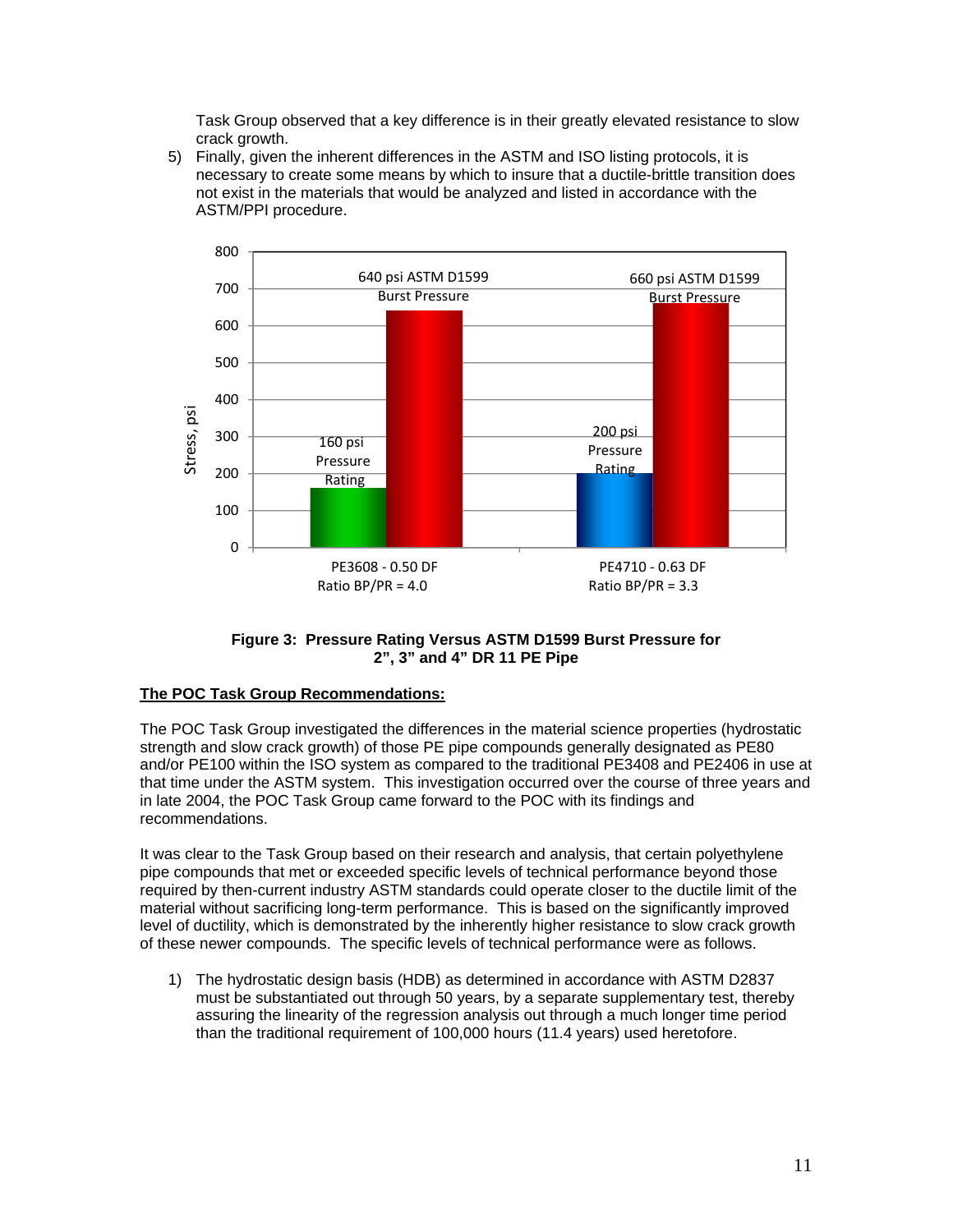Task Group observed that a key difference is in their greatly elevated resistance to slow crack growth.

5) Finally, given the inherent differences in the ASTM and ISO listing protocols, it is necessary to create some means by which to insure that a ductile-brittle transition does not exist in the materials that would be analyzed and listed in accordance with the ASTM/PPI procedure.





## **The POC Task Group Recommendations:**

The POC Task Group investigated the differences in the material science properties (hydrostatic strength and slow crack growth) of those PE pipe compounds generally designated as PE80 and/or PE100 within the ISO system as compared to the traditional PE3408 and PE2406 in use at that time under the ASTM system. This investigation occurred over the course of three years and in late 2004, the POC Task Group came forward to the POC with its findings and recommendations.

It was clear to the Task Group based on their research and analysis, that certain polyethylene pipe compounds that met or exceeded specific levels of technical performance beyond those required by then-current industry ASTM standards could operate closer to the ductile limit of the material without sacrificing long-term performance. This is based on the significantly improved level of ductility, which is demonstrated by the inherently higher resistance to slow crack growth of these newer compounds. The specific levels of technical performance were as follows.

1) The hydrostatic design basis (HDB) as determined in accordance with ASTM D2837 must be substantiated out through 50 years, by a separate supplementary test, thereby assuring the linearity of the regression analysis out through a much longer time period than the traditional requirement of 100,000 hours (11.4 years) used heretofore.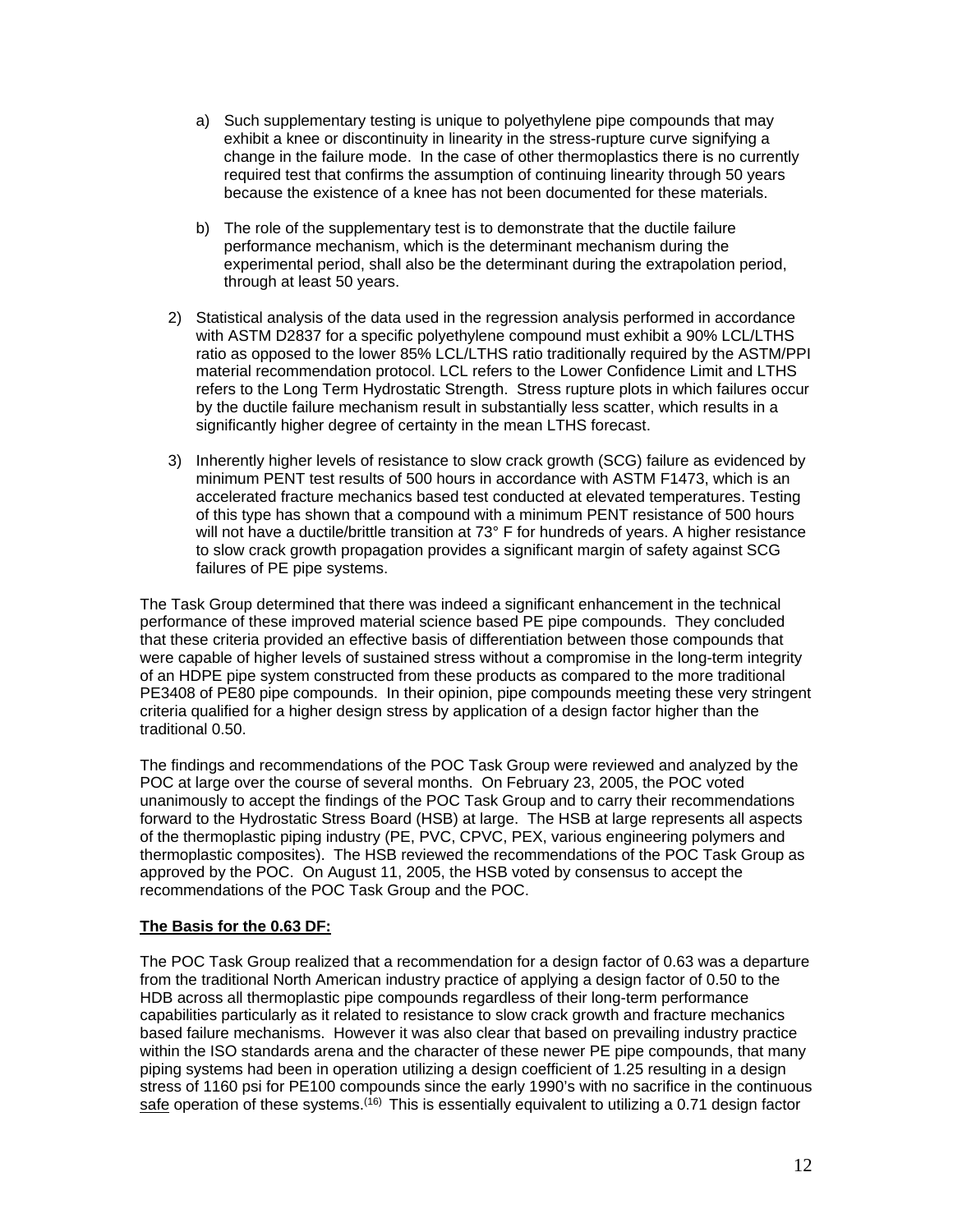- a) Such supplementary testing is unique to polyethylene pipe compounds that may exhibit a knee or discontinuity in linearity in the stress-rupture curve signifying a change in the failure mode. In the case of other thermoplastics there is no currently required test that confirms the assumption of continuing linearity through 50 years because the existence of a knee has not been documented for these materials.
- b) The role of the supplementary test is to demonstrate that the ductile failure performance mechanism, which is the determinant mechanism during the experimental period, shall also be the determinant during the extrapolation period, through at least 50 years.
- 2) Statistical analysis of the data used in the regression analysis performed in accordance with ASTM D2837 for a specific polyethylene compound must exhibit a 90% LCL/LTHS ratio as opposed to the lower 85% LCL/LTHS ratio traditionally required by the ASTM/PPI material recommendation protocol. LCL refers to the Lower Confidence Limit and LTHS refers to the Long Term Hydrostatic Strength. Stress rupture plots in which failures occur by the ductile failure mechanism result in substantially less scatter, which results in a significantly higher degree of certainty in the mean LTHS forecast.
- 3) Inherently higher levels of resistance to slow crack growth (SCG) failure as evidenced by minimum PENT test results of 500 hours in accordance with ASTM F1473, which is an accelerated fracture mechanics based test conducted at elevated temperatures. Testing of this type has shown that a compound with a minimum PENT resistance of 500 hours will not have a ductile/brittle transition at  $73^{\circ}$  F for hundreds of years. A higher resistance to slow crack growth propagation provides a significant margin of safety against SCG failures of PE pipe systems.

The Task Group determined that there was indeed a significant enhancement in the technical performance of these improved material science based PE pipe compounds. They concluded that these criteria provided an effective basis of differentiation between those compounds that were capable of higher levels of sustained stress without a compromise in the long-term integrity of an HDPE pipe system constructed from these products as compared to the more traditional PE3408 of PE80 pipe compounds. In their opinion, pipe compounds meeting these very stringent criteria qualified for a higher design stress by application of a design factor higher than the traditional 0.50.

The findings and recommendations of the POC Task Group were reviewed and analyzed by the POC at large over the course of several months. On February 23, 2005, the POC voted unanimously to accept the findings of the POC Task Group and to carry their recommendations forward to the Hydrostatic Stress Board (HSB) at large. The HSB at large represents all aspects of the thermoplastic piping industry (PE, PVC, CPVC, PEX, various engineering polymers and thermoplastic composites). The HSB reviewed the recommendations of the POC Task Group as approved by the POC. On August 11, 2005, the HSB voted by consensus to accept the recommendations of the POC Task Group and the POC.

### **The Basis for the 0.63 DF:**

The POC Task Group realized that a recommendation for a design factor of 0.63 was a departure from the traditional North American industry practice of applying a design factor of 0.50 to the HDB across all thermoplastic pipe compounds regardless of their long-term performance capabilities particularly as it related to resistance to slow crack growth and fracture mechanics based failure mechanisms. However it was also clear that based on prevailing industry practice within the ISO standards arena and the character of these newer PE pipe compounds, that many piping systems had been in operation utilizing a design coefficient of 1.25 resulting in a design stress of 1160 psi for PE100 compounds since the early 1990's with no sacrifice in the continuous safe operation of these systems.<sup>(16)</sup> This is essentially equivalent to utilizing a 0.71 design factor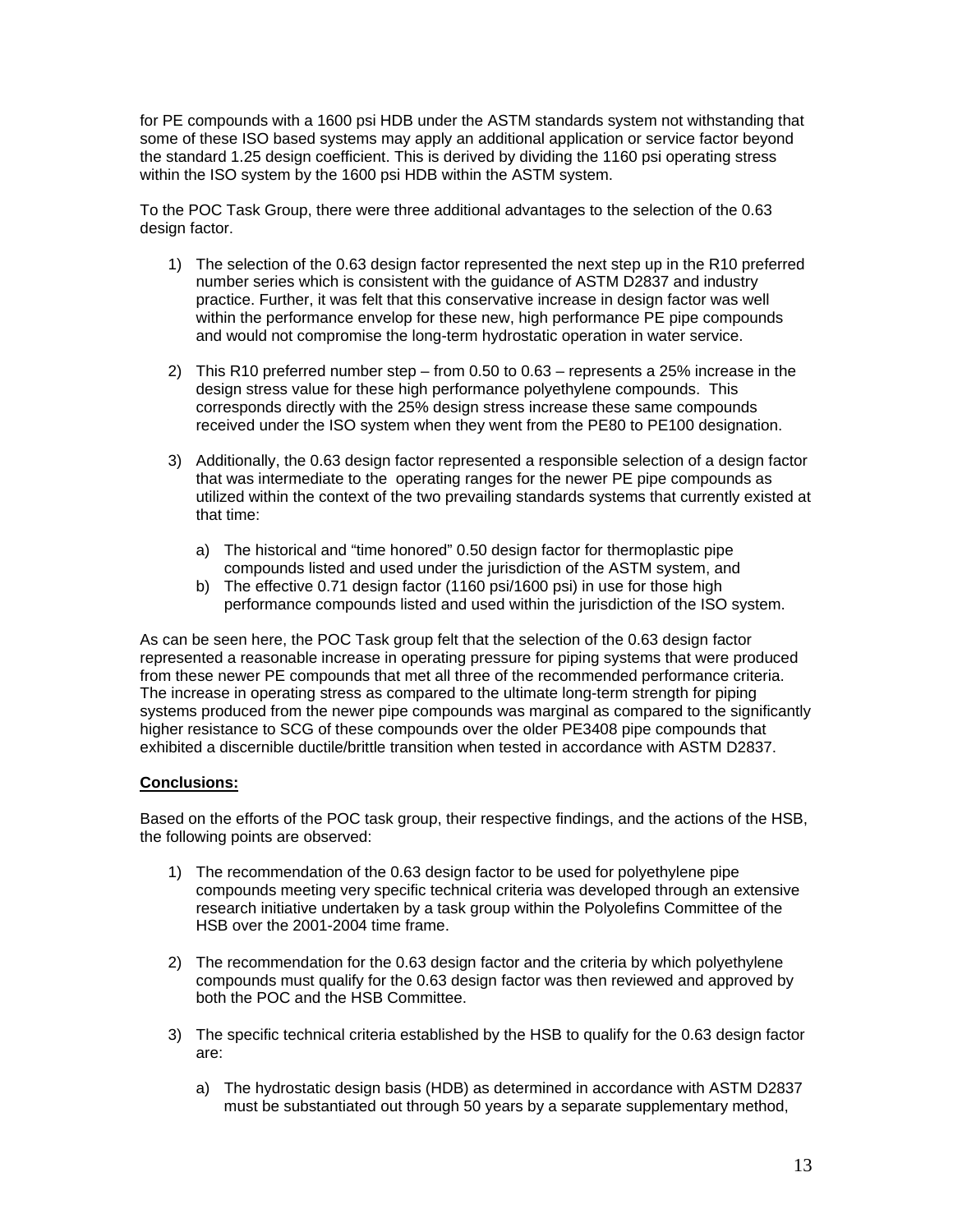for PE compounds with a 1600 psi HDB under the ASTM standards system not withstanding that some of these ISO based systems may apply an additional application or service factor beyond the standard 1.25 design coefficient. This is derived by dividing the 1160 psi operating stress within the ISO system by the 1600 psi HDB within the ASTM system.

To the POC Task Group, there were three additional advantages to the selection of the 0.63 design factor.

- 1) The selection of the 0.63 design factor represented the next step up in the R10 preferred number series which is consistent with the guidance of ASTM D2837 and industry practice. Further, it was felt that this conservative increase in design factor was well within the performance envelop for these new, high performance PE pipe compounds and would not compromise the long-term hydrostatic operation in water service.
- 2) This R10 preferred number step from 0.50 to 0.63 represents a 25% increase in the design stress value for these high performance polyethylene compounds. This corresponds directly with the 25% design stress increase these same compounds received under the ISO system when they went from the PE80 to PE100 designation.
- 3) Additionally, the 0.63 design factor represented a responsible selection of a design factor that was intermediate to the operating ranges for the newer PE pipe compounds as utilized within the context of the two prevailing standards systems that currently existed at that time:
	- a) The historical and "time honored" 0.50 design factor for thermoplastic pipe compounds listed and used under the jurisdiction of the ASTM system, and
	- b) The effective 0.71 design factor (1160 psi/1600 psi) in use for those high performance compounds listed and used within the jurisdiction of the ISO system.

As can be seen here, the POC Task group felt that the selection of the 0.63 design factor represented a reasonable increase in operating pressure for piping systems that were produced from these newer PE compounds that met all three of the recommended performance criteria. The increase in operating stress as compared to the ultimate long-term strength for piping systems produced from the newer pipe compounds was marginal as compared to the significantly higher resistance to SCG of these compounds over the older PE3408 pipe compounds that exhibited a discernible ductile/brittle transition when tested in accordance with ASTM D2837.

### **Conclusions:**

Based on the efforts of the POC task group, their respective findings, and the actions of the HSB, the following points are observed:

- 1) The recommendation of the 0.63 design factor to be used for polyethylene pipe compounds meeting very specific technical criteria was developed through an extensive research initiative undertaken by a task group within the Polyolefins Committee of the HSB over the 2001-2004 time frame.
- 2) The recommendation for the 0.63 design factor and the criteria by which polyethylene compounds must qualify for the 0.63 design factor was then reviewed and approved by both the POC and the HSB Committee.
- 3) The specific technical criteria established by the HSB to qualify for the 0.63 design factor are:
	- a) The hydrostatic design basis (HDB) as determined in accordance with ASTM D2837 must be substantiated out through 50 years by a separate supplementary method,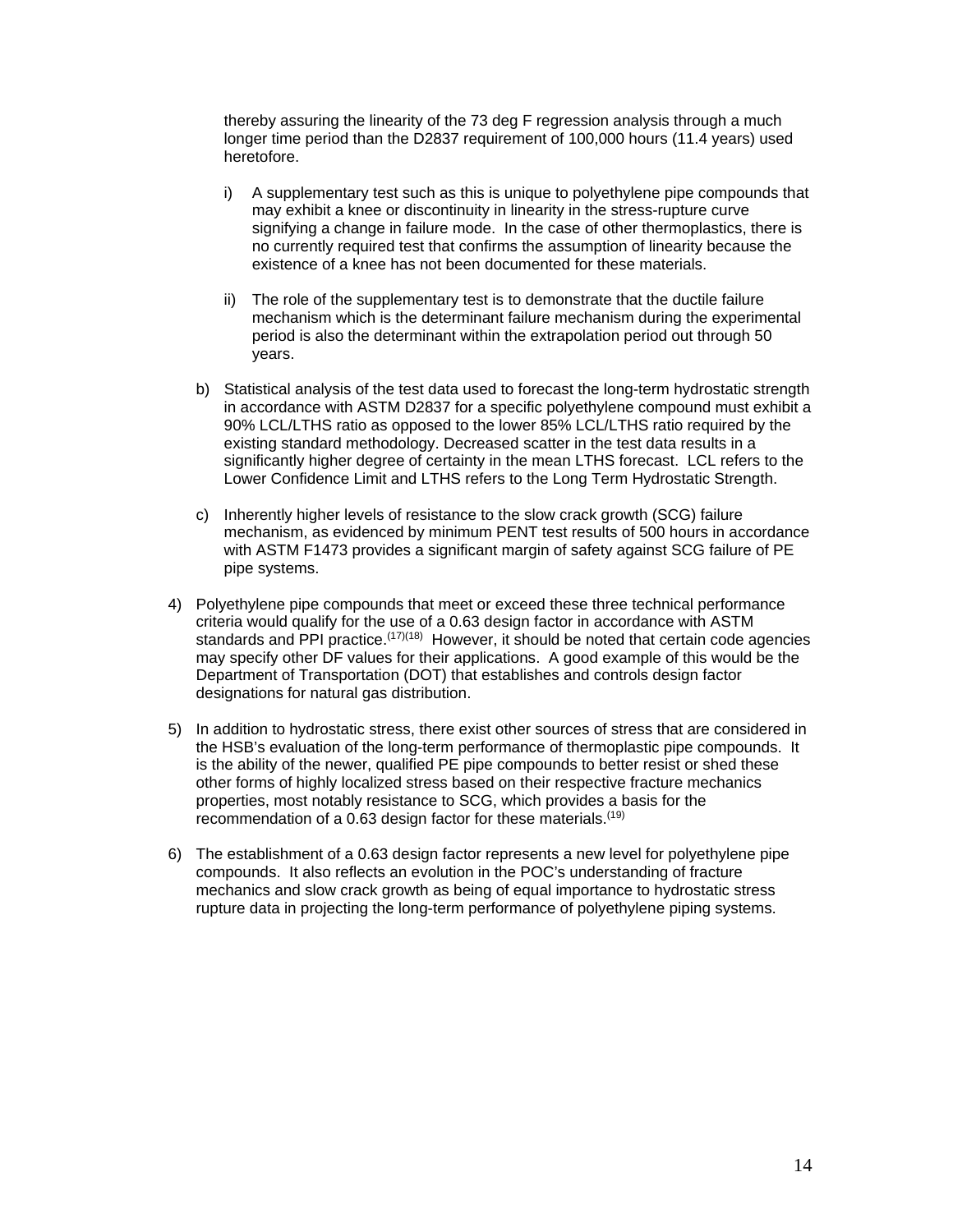thereby assuring the linearity of the 73 deg F regression analysis through a much longer time period than the D2837 requirement of 100,000 hours (11.4 years) used heretofore.

- i) A supplementary test such as this is unique to polyethylene pipe compounds that may exhibit a knee or discontinuity in linearity in the stress-rupture curve signifying a change in failure mode. In the case of other thermoplastics, there is no currently required test that confirms the assumption of linearity because the existence of a knee has not been documented for these materials.
- ii) The role of the supplementary test is to demonstrate that the ductile failure mechanism which is the determinant failure mechanism during the experimental period is also the determinant within the extrapolation period out through 50 years.
- b) Statistical analysis of the test data used to forecast the long-term hydrostatic strength in accordance with ASTM D2837 for a specific polyethylene compound must exhibit a 90% LCL/LTHS ratio as opposed to the lower 85% LCL/LTHS ratio required by the existing standard methodology. Decreased scatter in the test data results in a significantly higher degree of certainty in the mean LTHS forecast. LCL refers to the Lower Confidence Limit and LTHS refers to the Long Term Hydrostatic Strength.
- c) Inherently higher levels of resistance to the slow crack growth (SCG) failure mechanism, as evidenced by minimum PENT test results of 500 hours in accordance with ASTM F1473 provides a significant margin of safety against SCG failure of PE pipe systems.
- 4) Polyethylene pipe compounds that meet or exceed these three technical performance criteria would qualify for the use of a 0.63 design factor in accordance with ASTM standards and PPI practice.<sup> $(17)(18)$ </sup> However, it should be noted that certain code agencies may specify other DF values for their applications. A good example of this would be the Department of Transportation (DOT) that establishes and controls design factor designations for natural gas distribution.
- 5) In addition to hydrostatic stress, there exist other sources of stress that are considered in the HSB's evaluation of the long-term performance of thermoplastic pipe compounds. It is the ability of the newer, qualified PE pipe compounds to better resist or shed these other forms of highly localized stress based on their respective fracture mechanics properties, most notably resistance to SCG, which provides a basis for the recommendation of a 0.63 design factor for these materials.<sup>(19)</sup>
- 6) The establishment of a 0.63 design factor represents a new level for polyethylene pipe compounds. It also reflects an evolution in the POC's understanding of fracture mechanics and slow crack growth as being of equal importance to hydrostatic stress rupture data in projecting the long-term performance of polyethylene piping systems.